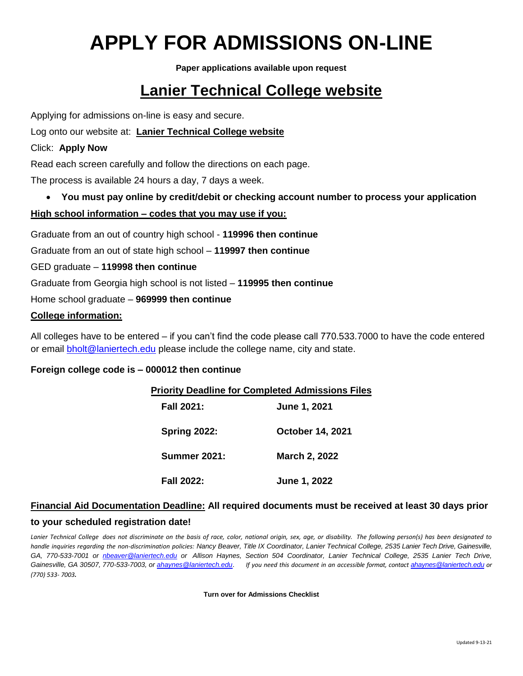# **APPLY FOR ADMISSIONS ON-LINE**

**Paper applications available upon request**

## **[Lanier Technical College website](http://www.laniertech.edu/)**

Applying for admissions on-line is easy and secure.

#### Log onto our website at: **[Lanier Technical College website](http://www.laniertech.edu/)**

#### Click: **Apply Now**

Read each screen carefully and follow the directions on each page.

The process is available 24 hours a day, 7 days a week.

• **You must pay online by credit/debit or checking account number to process your application**

#### **High school information – codes that you may use if you:**

Graduate from an out of country high school - **119996 then continue**

Graduate from an out of state high school – **119997 then continue**

GED graduate – **119998 then continue**

Graduate from Georgia high school is not listed – **119995 then continue**

Home school graduate – **969999 then continue**

#### **College information:**

All colleges have to be entered – if you can't find the code please call 770.533.7000 to have the code entered or email [bholt@laniertech.edu](mailto:bholt@laniertech.edu) please include the college name, city and state.

#### **Foreign college code is – 000012 then continue**

#### **Priority Deadline for Completed Admissions Files**

**Fall 2021: June 1, 2021 Spring 2022: October 14, 2021 Summer 2021: March 2, 2022 Fall 2022: June 1, 2022**

### **Financial Aid Documentation Deadline: All required documents must be received at least 30 days prior**

#### **to your scheduled registration date!**

*Lanier Technical College does not discriminate on the basis of race, color, national origin, sex, age, or disability. The following person(s) has been designated to handle inquiries regarding the non-discrimination policies: Nancy Beaver, Title IX Coordinator, Lanier Technical College, 2535 Lanier Tech Drive, Gainesville, GA, 770-533-7001 or [nbeaver@laniertech.edu](mailto:nbeaver@laniertech.edu) or Allison Haynes, Section 504 Coordinator, Lanier Technical College, 2535 Lanier Tech Drive,*  Gainesville, GA 30507, 770-533-7003, o[r ahaynes@laniertech.edu](mailto:ahaynes@laniertech.edu). If you need this document in an accessible format, contact [ahaynes@laniertech.edu](mailto:ahaynes@laniertech.edu) or *(770) 533- 7003.*

**Turn over for Admissions Checklist**